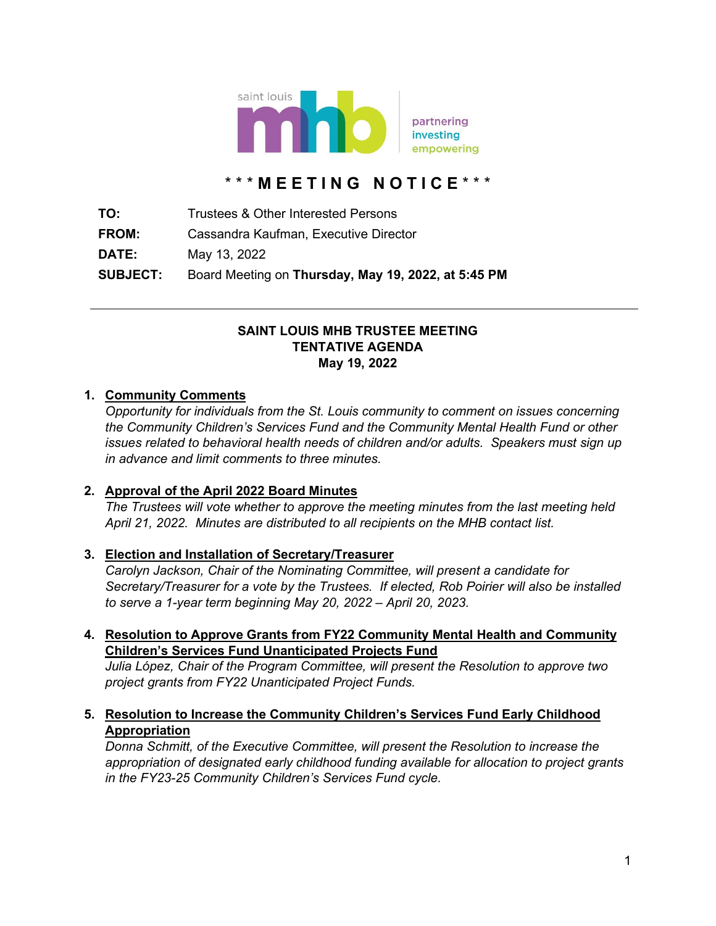

# \* \* \* **M E E T I N G N O T I C E** \* \* \*

**TO:** Trustees & Other Interested Persons **FROM:** Cassandra Kaufman, Executive Director **DATE:** May 13, 2022 **SUBJECT:** Board Meeting on **Thursday, May 19, 2022, at 5:45 PM**

#### **SAINT LOUIS MHB TRUSTEE MEETING TENTATIVE AGENDA May 19, 2022**

#### **1. Community Comments**

*Opportunity for individuals from the St. Louis community to comment on issues concerning the Community Children's Services Fund and the Community Mental Health Fund or other issues related to behavioral health needs of children and/or adults. Speakers must sign up in advance and limit comments to three minutes.*

#### **2. Approval of the April 2022 Board Minutes**

*The Trustees will vote whether to approve the meeting minutes from the last meeting held April 21, 2022. Minutes are distributed to all recipients on the MHB contact list.*

#### **3. Election and Installation of Secretary/Treasurer**

*Carolyn Jackson, Chair of the Nominating Committee, will present a candidate for Secretary/Treasurer for a vote by the Trustees. If elected, Rob Poirier will also be installed to serve a 1-year term beginning May 20, 2022 – April 20, 2023.*

**4. Resolution to Approve Grants from FY22 Community Mental Health and Community Children's Services Fund Unanticipated Projects Fund**

*Julia López, Chair of the Program Committee, will present the Resolution to approve two project grants from FY22 Unanticipated Project Funds.*

**5. Resolution to Increase the Community Children's Services Fund Early Childhood Appropriation**

*Donna Schmitt, of the Executive Committee, will present the Resolution to increase the appropriation of designated early childhood funding available for allocation to project grants in the FY23-25 Community Children's Services Fund cycle.*